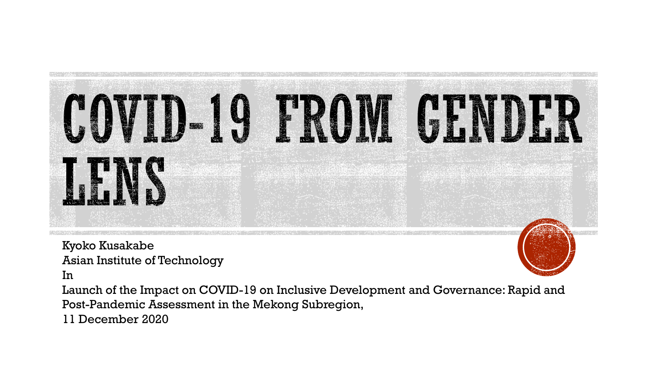

Kyoko Kusakabe Asian Institute of Technology

In

Launch of the Impact on COVID-19 on Inclusive Development and Governance: Rapid and Post-Pandemic Assessment in the Mekong Subregion,

11 December 2020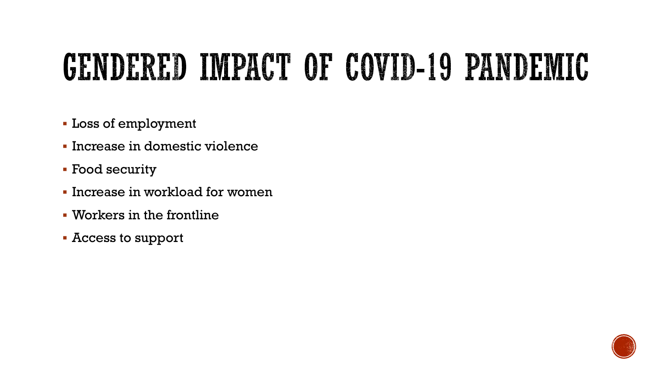## GENDERED IMPACT OF COVID-19 PANDEMIC

- Loss of employment
- Increase in domestic violence
- **Food security**
- **.** Increase in workload for women
- Workers in the frontline
- Access to support

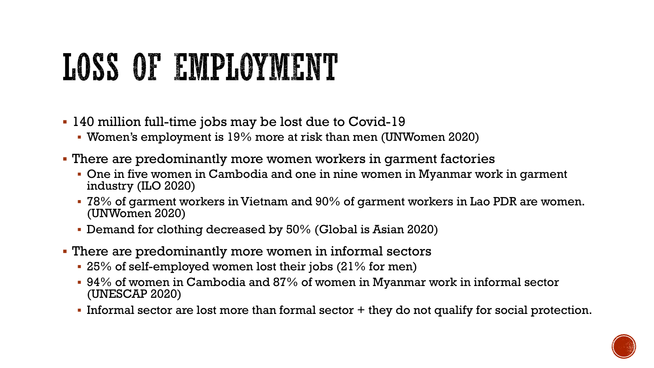# LOSS OF EMPLOYMENT

- 140 million full-time jobs may be lost due to Covid-19
	- Women's employment is 19% more at risk than men (UNWomen 2020)
- **There are predominantly more women workers in garment factories** 
	- **One in five women in Cambodia and one in nine women in Myanmar work in garment** industry (ILO 2020)
	- $\blacksquare$  78% of garment workers in Vietnam and 90% of garment workers in Lao PDR are women. (UNWomen 2020)
	- **Demand for clothing decreased by 50% (Global is Asian 2020)**
- There are predominantly more women in informal sectors
	- 25% of self-employed women lost their jobs (21% for men)
	- $\bullet$  94% of women in Cambodia and 87% of women in Myanmar work in informal sector (UNESCAP 2020)
	- Informal sector are lost more than formal sector + they do not qualify for social protection.

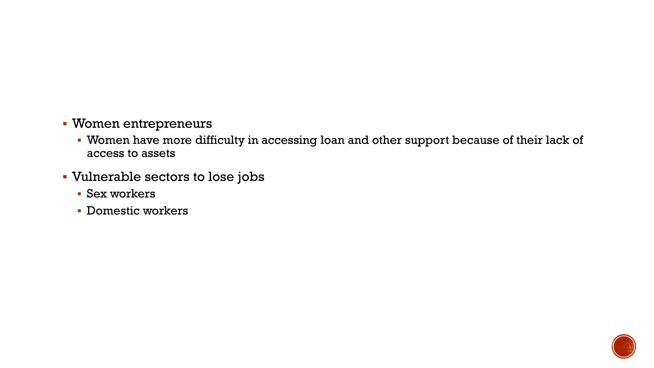- Women entrepreneurs
	- Women have more difficulty in accessing loan and other support because of their lack of access to assets
- Vulnerable sectors to lose jobs
	- Sex workers
	- Domestic workers

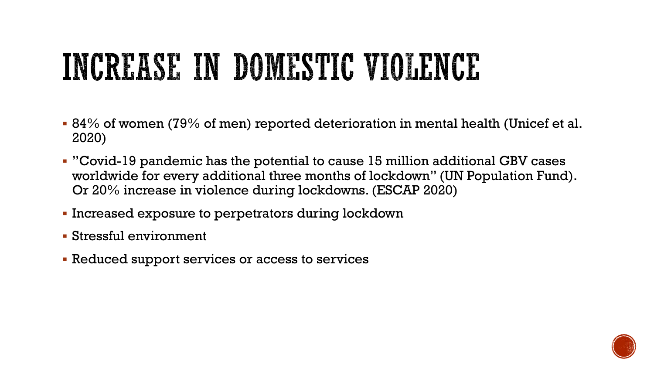## INCREASE IN DOMESTIC VIOLENCE

- 84% of women (79% of men) reported deterioration in mental health (Unicef et al. 2020)
- "Covid-19 pandemic has the potential to cause 15 million additional GBV cases worldwide for every additional three months of lockdown" (UN Population Fund). Or 20% increase in violence during lockdowns. (ESCAP 2020)
- Increased exposure to perpetrators during lockdown
- Stressful environment
- **EXEDEE FIRELE IS A LET ASSET IS EXELECT FIREL** Reduced support services

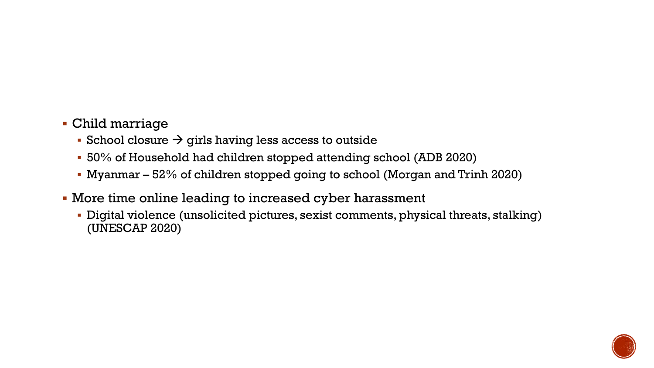- Child marriage
	- School closure  $\rightarrow$  girls having less access to outside
	- 50% of Household had children stopped attending school (ADB 2020)
	- **Myanmar**  $-52\%$  of children stopped going to school (Morgan and Trinh 2020)
- More time online leading to increased cyber harassment
	- Digital violence (unsolicited pictures, sexist comments, physical threats, stalking) (UNESCAP 2020)

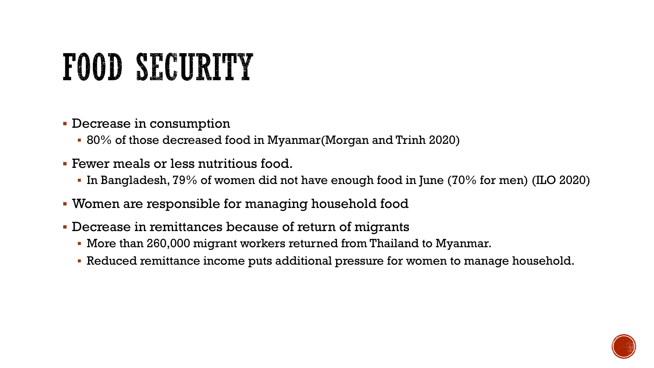# FOOD SECURITY

- **Decrease in consumption** 
	- 80% of those decreased food in Myanmar(Morgan and Trinh 2020)
- Fewer meals or less nutritious food.
	- In Bangladesh, 79% of women did not have enough food in June (70% for men) (ILO 2020)
- Women are responsible for managing household food
- Decrease in remittances because of return of migrants
	- More than 260,000 migrant workers returned from Thailand to Myanmar.
	- Reduced remittance income puts additional pressure for women to manage household.

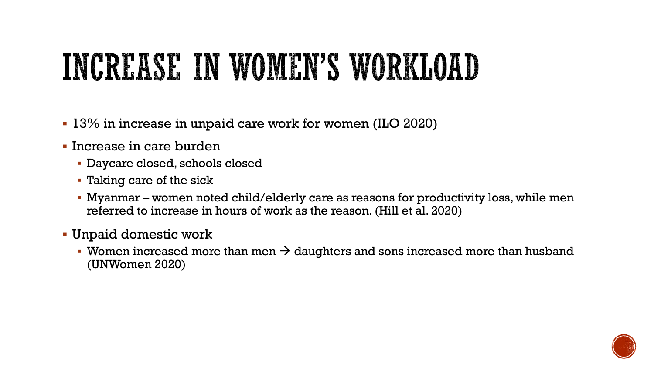### INCREASE IN WOMEN'S WORKLOAD

- 13% in increase in unpaid care work for women (ILO 2020)
- Increase in care burden
	- Daycare closed, schools closed
	- Taking care of the sick
	- Myanmar women noted child/elderly care as reasons for productivity loss, while men referred to increase in hours of work as the reason. (Hill et al. 2020)
- Unpaid domestic work
	- Women increased more than men  $\rightarrow$  daughters and sons increased more than husband (UNWomen 2020)

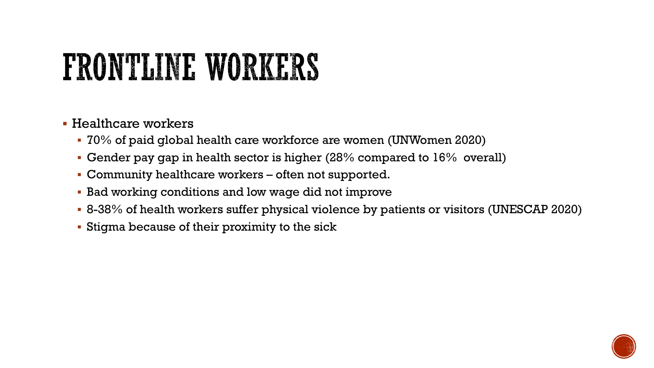## FRONTLINE WORKERS

- Healthcare workers
	- 70% of paid global health care workforce are women (UNWomen 2020)
	- **Gender pay gap in health sector is higher (28% compared to**  $16\%$  **overall)**
	- Community healthcare workers often not supported.
	- Bad working conditions and low wage did not improve
	- 8-38% of health workers suffer physical violence by patients or visitors (UNESCAP 2020)
	- **Example 2** Stigma because of their proximity to the sick

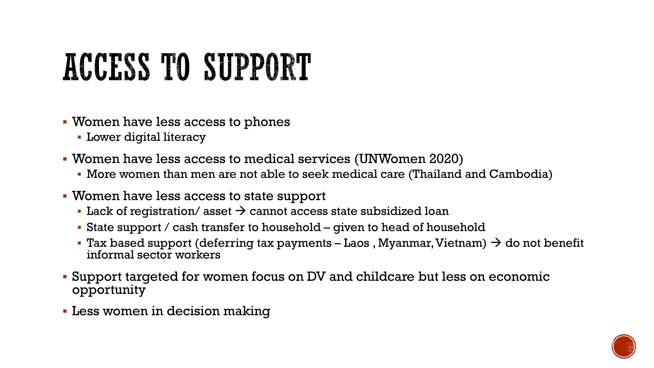# ACCESS TO SUPPORT

- Women have less access to phones
	- **E** Lower digital literacy
- Women have less access to medical services (UNWomen 2020)
	- More women than men are not able to seek medical care (Thailand and Cambodia)
- Women have less access to state support
	- Lack of registration/ asset  $\rightarrow$  cannot access state subsidized loan
	- $\blacksquare$  State support / cash transfer to household given to head of household
	- Tax based support (deferring tax payments Laos, Myanmar, Vietnam)  $\rightarrow$  do not benefit informal sector workers
- Support targeted for women focus on DV and childcare but less on economic opportunity
- **Less women in decision making**

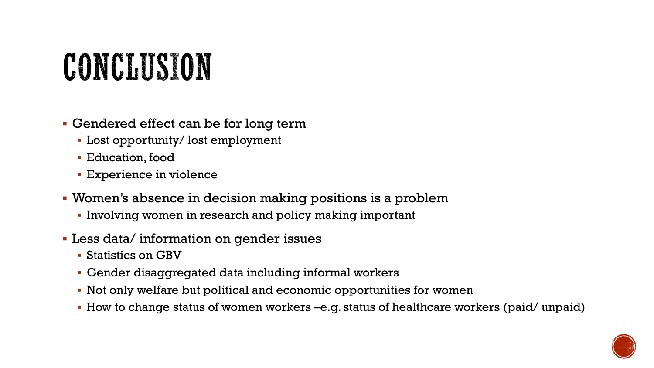## CONCLUSION

- Gendered effect can be for long term
	- Lost opportunity/ lost employment
	- Education, food
	- **Experience in violence**
- Women's absence in decision making positions is a problem
	- Involving women in research and policy making important
- Less data/ information on gender issues
	- Statistics on GBV
	- Gender disaggregated data including informal workers
	- Not only welfare but political and economic opportunities for women
	- How to change status of women workers –e.g. status of healthcare workers (paid/ unpaid)

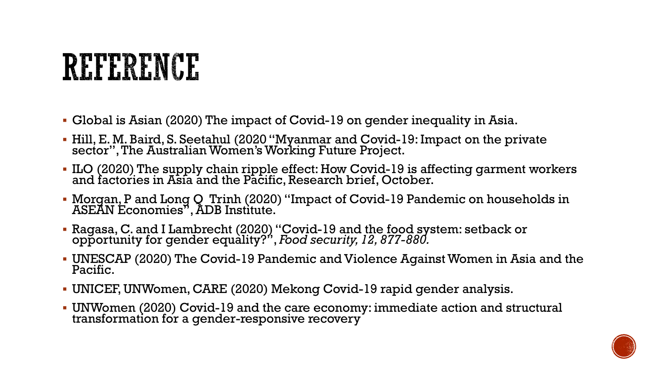#### REFERENCE

- Global is Asian (2020) The impact of Covid-19 on gender inequality in Asia.
- Hill, E. M. Baird, S. Seetahul (2020 "Myanmar and Covid-19: Impact on the private sector", The Australian Women's Working Future Project.
- ILO (2020) The supply chain ripple effect: How Covid-19 is affecting garment workers and factories in Asia and the Pacific, Research brief, October.
- Morgan, P and Long Q Trinh (2020) "Impact of Covid-19 Pandemic on households in ASEAN Economies", ADB Institute.
- Ragasa, C. and I Lambrecht (2020) "Covid-19 and the food system: setback or opportunity for gender equality?", *Food security, 12, 877-880.*
- UNESCAP (2020) The Covid-19 Pandemic and Violence Against Women in Asia and the Pacific.
- UNICEF, UNWomen, CARE (2020) Mekong Covid-19 rapid gender analysis.
- UNWomen (2020) Covid-19 and the care economy: immediate action and structural transformation for a gender-responsive recovery